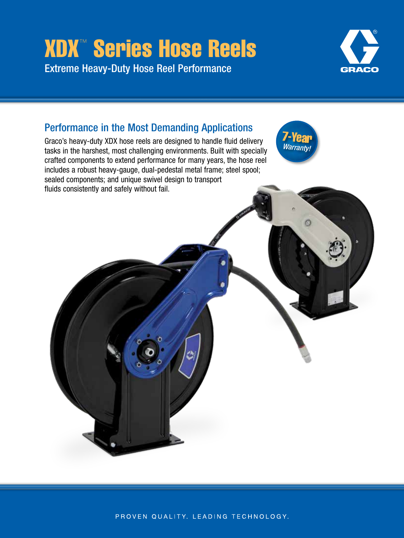# XDX™ Series Hose Reels Extreme Heavy-Duty Hose Reel Performance



## Performance in the Most Demanding Applications

Graco's heavy-duty XDX hose reels are designed to handle fluid delivery tasks in the harshest, most challenging environments. Built with specially crafted components to extend performance for many years, the hose reel includes a robust heavy-gauge, dual-pedestal metal frame; steel spool; sealed components; and unique swivel design to transport fluids consistently and safely without fail.





PROVEN QUALITY. LEADING TECHNOLOGY.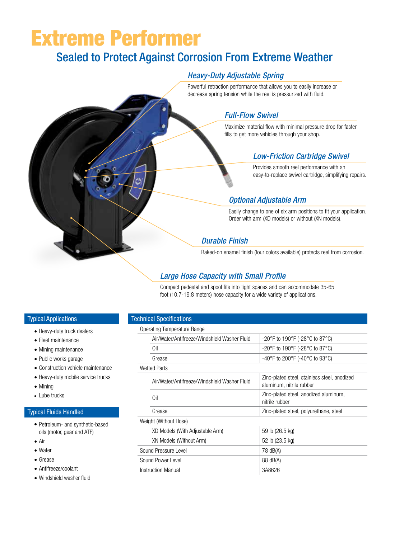# Extreme Performer

## Sealed to Protect Against Corrosion From Extreme Weather

## *Heavy-Duty Adjustable Spring*

Powerful retraction performance that allows you to easily increase or decrease spring tension while the reel is pressurized with fluid.

## *Full-Flow Swivel*

Maximize material flow with minimal pressure drop for faster fills to get more vehicles through your shop.

## *Low-Friction Cartridge Swivel*

Provides smooth reel performance with an easy-to-replace swivel cartridge, simplifying repairs.

## *Optional Adjustable Arm*

Easily change to one of six arm positions to fit your application. Order with arm (XD models) or without (XN models).

## *Durable Finish*

Baked-on enamel finish (four colors available) protects reel from corrosion.

## *Large Hose Capacity with Small Profile*

Compact pedestal and spool fits into tight spaces and can accommodate 35-65 foot (10.7-19.8 meters) hose capacity for a wide variety of applications.

#### Typical Applications

- Heavy-duty truck dealers
- Fleet maintenance
- Mining maintenance
- Public works garage
- Construction vehicle maintenance
- Heavy-duty mobile service trucks
- Mining
- Lube trucks

#### Typical Fluids Handled

- Petroleum- and synthetic-based oils (motor, gear and ATF)
- Air
- Water
- Grease
- Antifreeze/coolant
- Windshield washer fluid

#### Technical Specifications

#### Operating Temperature Range

|                   | Air/Water/Antifreeze/Windshield Washer Fluid | -20°F to 190°F (-28°C to 87°C)                                           |
|-------------------|----------------------------------------------|--------------------------------------------------------------------------|
|                   | Oil                                          | -20°F to 190°F (-28°C to 87°C)                                           |
|                   | Grease                                       | -40°F to 200°F (-40°C to 93°C)                                           |
|                   | <b>Wetted Parts</b>                          |                                                                          |
|                   | Air/Water/Antifreeze/Windshield Washer Fluid | Zinc-plated steel, stainless steel, anodized<br>aluminum, nitrile rubber |
|                   | Oil                                          | Zinc-plated steel, anodized aluminum,<br>nitrile rubber                  |
|                   | Grease                                       | Zinc-plated steel, polyurethane, steel                                   |
|                   | Weight (Without Hose)                        |                                                                          |
|                   | XD Models (With Adjustable Arm)              | 59 lb (26.5 kg)                                                          |
|                   | XN Models (Without Arm)                      | 52 lb (23.5 kg)                                                          |
|                   | Sound Pressure Level                         | 78 dB(A)                                                                 |
| Sound Power Level |                                              | 88 dB(A)                                                                 |
|                   | Instruction Manual                           | 3A8626                                                                   |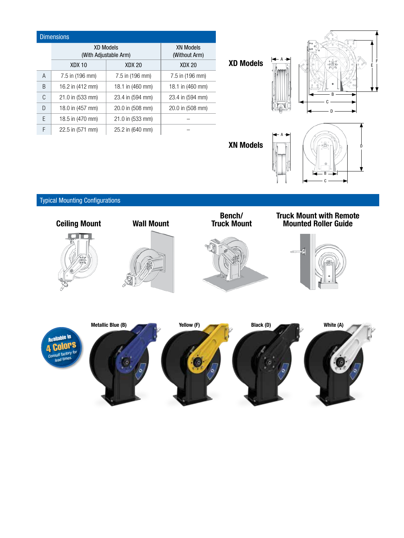## Dimensions

|   | <b>XD Models</b><br>(With Adjustable Arm) |                  | <b>XN Models</b><br>(Without Arm) |
|---|-------------------------------------------|------------------|-----------------------------------|
|   | <b>XDX 10</b>                             | <b>XDX 20</b>    | <b>XDX 20</b>                     |
| A | 7.5 in (196 mm)                           | 7.5 in (196 mm)  | 7.5 in (196 mm)                   |
| B | 16.2 in (412 mm)                          | 18.1 in (460 mm) | 18.1 in (460 mm)                  |
| C | 21.0 in (533 mm)                          | 23.4 in (594 mm) | 23.4 in (594 mm)                  |
| D | 18.0 in (457 mm)                          | 20.0 in (508 mm) | 20.0 in (508 mm)                  |
| E | 18.5 in (470 mm)                          | 21.0 in (533 mm) |                                   |
| F | 22.5 in (571 mm)                          | 25.2 in (640 mm) |                                   |

XD Models



XN Models



## Typical Mounting Configurations



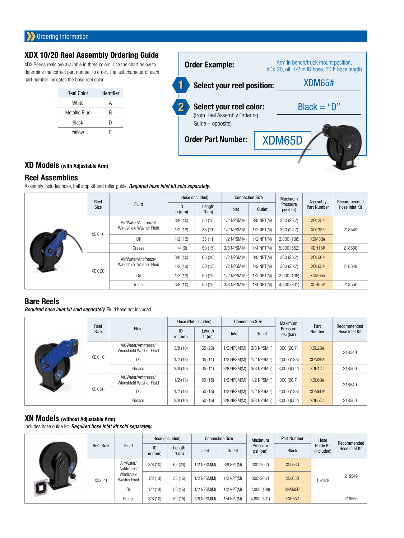## XDX 10/20 Reel Assembly Ordering Guide

XDX Series reels are available in three colors. Use the chart below to determine the correct part number to order. The last character of each part number indicates the hose reel color.

| <b>Reel Color</b> | Identifier |
|-------------------|------------|
| White             | А          |
| Metallic Blue     | B          |
| <b>Black</b>      | D          |
| Yellow            |            |



## XD Models (with Adjustable Arm)

#### Reel Assemblies

Assembly includes hose, ball stop kit and roller guide. *Required hose inlet kit sold separately.*

|             | Reel   | <b>Fluid</b>                                                      | Hose (Included) |                    | <b>Connection Size</b> |              | Maximum               | Assembly           | Recommended    |
|-------------|--------|-------------------------------------------------------------------|-----------------|--------------------|------------------------|--------------|-----------------------|--------------------|----------------|
|             | Size   |                                                                   | ID<br>in $(mm)$ | Length<br>ft $(m)$ | Inlet                  | Outlet       | Pressure<br>psi (bar) | <b>Part Number</b> | Hose Inlet Kit |
|             |        | Air/Water/Antifreeze/                                             | 3/8(10)         | 50(15)             | 1/2 NPSM(M)            | 3/8 NPT(M)   | 300 (20.7)            | <b>XDL25#</b>      |                |
|             | XDX 10 | Windshield Washer Fluid                                           | 1/2(13)         | 35(11)             | 1/2 NPSM(M)            | 1/2 NPT(M)   | 300 (20.7)            | XDL33#             | 218549         |
|             |        | Oil                                                               | 1/2(13)         | 35(11)             | 1/2 NPSM(M)            | $1/2$ NPT(M) | 2,000 (138)           | XDM33#             |                |
| <b>BOOT</b> |        | Grease                                                            | 1/4(6)          | 50(15)             | 3/8 NPSM(M)            | 1/4 NPT(M)   | 5,000 (552)           | <b>XDH15#</b>      | 218550         |
|             | XDX 20 | Air/Water/Antifreeze/<br>Windshield Washer Fluid<br>Oil<br>Grease | 3/8(10)         | 65 (20)            | 1/2 NPSM(M)            | 3/8 NPT(M)   | 300 (20.7)            | XDL56#             | 218549         |
|             |        |                                                                   | 1/2(13)         | 50(15)             | 1/2 NPSM(M)            | 1/2 NPT(M)   | 300 (20.7)            | XDL65#             |                |
|             |        |                                                                   | 1/2(13)         | 50(15)             | 1/2 NPSM(M)            | 1/2 NPT(M)   | 2,000 (138)           | <b>XDM65#</b>      |                |
|             |        |                                                                   | 3/8(10)         | 50(15)             | 3/8 NPSM(M)            | 1/4 NPT(M)   | 4,800 (331)           | <b>XDH55#</b>      | 218550         |

## Bare Reels

*Required hose inlet kit sold separately.* Fluid hose not included.

|  | Reel   |                                                  |                 | Hose (Not Included) |             | <b>Connection Size</b> | <b>Maximum</b>        | Part   | Recommended    |
|--|--------|--------------------------------------------------|-----------------|---------------------|-------------|------------------------|-----------------------|--------|----------------|
|  | Size   | Fluid                                            | ID<br>in $(mm)$ | Length<br>ft $(m)$  | Inlet       | Outlet                 | Pressure<br>psi (bar) | Number | Hose Inlet Kit |
|  | XDX 10 | Air/Water/Antifreeze/<br>Windshield Washer Fluid | 3/8(10)         | 65 (20)             | 1/2 NPSM(M) | 3/8 NPSM(F)            | 300(20.7)             | XDL2D# | 218549         |
|  |        | Oil                                              | 1/2(13)         | 35(11)              | 1/2 NPSM(M) | 1/2 NPSM(F)            | 2,000 (138)           | XDM3B# |                |
|  |        | Grease                                           | 3/8(10)         | 35(11)              | 3/8 NPSM(M) | 3/8 NPSM(F)            | 8,000 (552)           | XDH1D# | 218550         |
|  | XDX 20 | Air/Water/Antifreeze/<br>Windshield Washer Fluid | 1/2(13)         | 50(15)              | 1/2 NPSM(M) | $1/2$ NPSM(F)          | 300(20.7)             | XDL6D# | 218549         |
|  |        | Oil                                              | 1/2(13)         | 50(15)              | 1/2 NPSM(M) | 1/2 NPSM(F)            | 2,000 (138)           | XDM6D# |                |
|  |        | Grease                                           | 3/8(10)         | 50(15)              | 3/8 NPSM(M) | 3/8 NPSM(F)            | 8,000 (552)           | XDH5D# | 218550         |

#### XN Models (without Adjustable Arm)

Includes hose guide kit. *Required hose inlet kit sold separately.*

|  | <b>Fluid</b><br><b>Reel Size</b> |                            | Hose (Included) |                    | <b>Connection Size</b> |              | <b>Maximum</b>        | <b>Part Number</b>  | Hose                    | Recommended    |
|--|----------------------------------|----------------------------|-----------------|--------------------|------------------------|--------------|-----------------------|---------------------|-------------------------|----------------|
|  |                                  |                            | ID<br>in $(mm)$ | Length<br>ft $(m)$ | Inlet                  | Outlet       | Pressure<br>psi (bar) | <b>Black</b>        | Guide Kit<br>(Included) | Hose Inlet Kit |
|  | XDX 20<br>Oil<br>Grease          | Air/Water/<br>Antifreeze/  | 3/8(10)         | 65 (20)            | 1/2 NPSM(M)            | 3/8 NPT(M)   | 300 (20.7)            | XNL56D              | 15Y478                  | 218549         |
|  |                                  | Windshield<br>Washer Fluid | 1/2(13)         | 50(15)             | $1/2$ NPSM(M)          | 1/2 NPT(M)   | 300 (20.7)            | XNL65D              |                         |                |
|  |                                  |                            | 1/2(13)         | 50(15)             | $1/2$ NPSM(M)          | 1/2 NPT(M)   | 2,000 (138)           | XNM65D              |                         |                |
|  |                                  |                            | 3/8(10)         | 50(15)             | 3/8 NPSM(M)            | $1/4$ NPT(M) | 4,800 (331)           | XNH <sub>55</sub> D |                         | 218550         |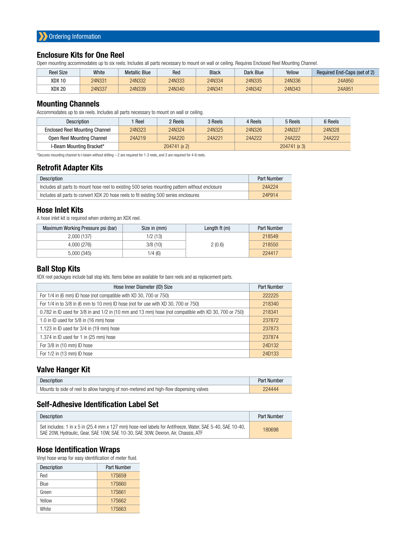#### Enclosure Kits for One Reel

Open mounting accommodates up to six reels. Includes all parts necessary to mount on wall or ceiling. Requires Enclosed Reel Mounting Channel.

| <b>Reel Size</b> | White  | <b>Metallic Blue</b> | Red    | <b>Black</b> | Dark Blue | Yellow | Required End-Caps (set of 2) |
|------------------|--------|----------------------|--------|--------------|-----------|--------|------------------------------|
| XDX 10           | 24N331 | 24N332               | 24N333 | 24N334       | 24N335    | 24N336 | 24A950                       |
| XDX 20           | 24N337 | 24N339               | 24N340 | 24N341       | 24N342    | 24N343 | 24A951                       |

#### Mounting Channels

Accommodates up to six reels. Includes all parts necessary to mount on wall or ceiling.

| <b>Description</b>                    | Reel         | 2 Reels | 3 Reels | 4 Reels      | 5 Reels | 6 Reels |  |
|---------------------------------------|--------------|---------|---------|--------------|---------|---------|--|
| <b>Enclosed Reel Mounting Channel</b> | 24N323       | 24N324  | 24N325  | 24N326       | 24N327  | 24N328  |  |
| Open Reel Mounting Channel            | 24A219       | 24A220  | 24A221  | 24A222       | 24A222  | 24A222  |  |
| I-Beam Mounting Bracket*              | 204741 (x 2) |         |         | 204741 (x 3) |         |         |  |

\*Secures mounting channel to I-beam without drilling – 2 are required for 1-3 reels, and 3 are required for 4-6 reels.

#### Retrofit Adapter Kits

| Description                                                                                     | Part Number |
|-------------------------------------------------------------------------------------------------|-------------|
| Includes all parts to mount hose reel to existing 500 series mounting pattern without enclosure | 24A224      |
| Includes all parts to convert XDX 20 hose reels to fit existing 500 series enclosures           | 24P914      |

#### Hose Inlet Kits

A hose inlet kit is required when ordering an XDX reel.

| Maximum Working Pressure psi (bar) | Size in (mm) | Length $ft(m)$ | Part Number |
|------------------------------------|--------------|----------------|-------------|
| 2.000(137)                         | 1/2(13)      |                | 218549      |
| 4,000 (276)                        | 3/8(10)      | 2(0.6)         | 218550      |
| 5,000(345)                         | 1/4 (6)      |                | 224417      |

#### Ball Stop Kits

XDX reel packages include ball stop kits. Items below are available for bare reels and as replacement parts.

|                                                                                                       | 222225 |
|-------------------------------------------------------------------------------------------------------|--------|
| For 1/4 in (6 mm) ID hose (not compatible with XD 30, 700 or 750)                                     |        |
| For 1/4 in to 3/8 in (6 mm to 10 mm) ID hose (not for use with XD 30, 700 or 750)                     | 218340 |
| 0.782 in ID used for 3/8 in and 1/2 in (10 mm and 13 mm) hose (not compatible with XD 30, 700 or 750) | 218341 |
| 1.0 in ID used for 5/8 in (16 mm) hose                                                                | 237872 |
| 1.123 in ID used for 3/4 in (19 mm) hose                                                              | 237873 |
| 1.374 in ID used for 1 in (25 mm) hose                                                                | 237874 |
| For 3/8 in (10 mm) ID hose                                                                            | 24D132 |
| For $1/2$ in $(13 \text{ mm})$ ID hose                                                                | 24D133 |

#### Valve Hanger Kit

| <b>Description</b>                                                                     | Part Number |
|----------------------------------------------------------------------------------------|-------------|
| Mounts to side of reel to allow hanging of non-metered and high-flow dispensing valves | 224444      |

#### Self-Adhesive Identification Label Set

| Description                                                                                                                                                                                   | <b>Part Number</b> |
|-----------------------------------------------------------------------------------------------------------------------------------------------------------------------------------------------|--------------------|
| Set includes: 1 in x 5 in (25.4 mm x 127 mm) hose reel labels for Antifreeze, Water, SAE 5-40, SAE 10-40,<br>SAE 20W. Hydraulic. Gear. SAE 10W. SAE 10-30. SAE 30W. Dexron. Air. Chassis. ATF | 180698             |

#### Hose Identification Wraps

Vinyl hose wrap for easy identification of meter fluid.

| Description  | <b>Part Number</b> |
|--------------|--------------------|
| Red          | 17S659             |
| Blue         | 17S660             |
| Green        | 17S661             |
| Yellow       | 17S662             |
| <b>White</b> | 17S663             |